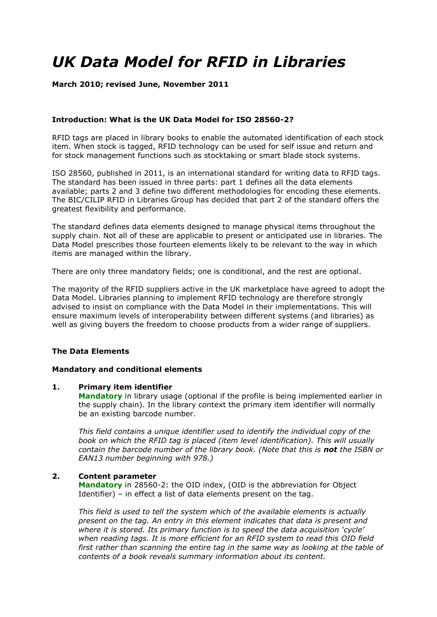# *UK Data Model for RFID in Libraries*

#### **March 2010; revised June, November 2011**

#### **Introduction: What is the UK Data Model for ISO 28560-2?**

RFID tags are placed in library books to enable the automated identification of each stock item. When stock is tagged, RFID technology can be used for self issue and return and for stock management functions such as stocktaking or smart blade stock systems.

ISO 28560, published in 2011, is an international standard for writing data to RFID tags. The standard has been issued in three parts: part 1 defines all the data elements available; parts 2 and 3 define two different methodologies for encoding these elements. The BIC/CILIP RFID in Libraries Group has decided that part 2 of the standard offers the greatest flexibility and performance.

The standard defines data elements designed to manage physical items throughout the supply chain. Not all of these are applicable to present or anticipated use in libraries. The Data Model prescribes those fourteen elements likely to be relevant to the way in which items are managed within the library.

There are only three mandatory fields; one is conditional, and the rest are optional.

The majority of the RFID suppliers active in the UK marketplace have agreed to adopt the Data Model. Libraries planning to implement RFID technology are therefore strongly advised to insist on compliance with the Data Model in their implementations. This will ensure maximum levels of interoperability between different systems (and libraries) as well as giving buyers the freedom to choose products from a wider range of suppliers.

#### **The Data Elements**

#### **Mandatory and conditional elements**

#### **1. Primary item identifier**

**Mandatory** in library usage (optional if the profile is being implemented earlier in the supply chain). In the library context the primary item identifier will normally be an existing barcode number.

*This field contains a unique identifier used to identify the individual copy of the book on which the RFID tag is placed (item level identification). This will usually contain the barcode number of the library book. (Note that this is not the ISBN or EAN13 number beginning with 978.)*

#### **2. Content parameter**

**Mandatory** in 28560-2: the OID index, (OID is the abbreviation for Object Identifier) – in effect a list of data elements present on the tag.

*This field is used to tell the system which of the available elements is actually present on the tag. An entry in this element indicates that data is present and where it is stored. Its primary function is to speed the data acquisition "cycle" when reading tags. It is more efficient for an RFID system to read this OID field first rather than scanning the entire tag in the same way as looking at the table of contents of a book reveals summary information about its content.*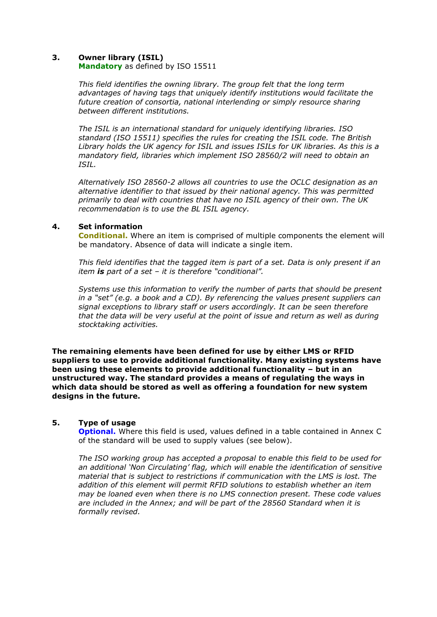#### **3. Owner library (ISIL)**

**Mandatory** as defined by ISO 15511

*This field identifies the owning library. The group felt that the long term advantages of having tags that uniquely identify institutions would facilitate the future creation of consortia, national interlending or simply resource sharing between different institutions.* 

*The ISIL is an international standard for uniquely identifying libraries. ISO standard (ISO 15511) specifies the rules for creating the ISIL code. The British Library holds the UK agency for ISIL and issues ISILs for UK libraries. As this is a mandatory field, libraries which implement ISO 28560/2 will need to obtain an ISIL.*

*Alternatively ISO 28560-2 allows all countries to use the OCLC designation as an alternative identifier to that issued by their national agency. This was permitted primarily to deal with countries that have no ISIL agency of their own. The UK recommendation is to use the BL ISIL agency.*

#### **4. Set information**

**Conditional.** Where an item is comprised of multiple components the element will be mandatory. Absence of data will indicate a single item.

*This field identifies that the tagged item is part of a set. Data is only present if an item is part of a set – it is therefore "conditional".*

*Systems use this information to verify the number of parts that should be present in a "set" (e.g. a book and a CD). By referencing the values present suppliers can signal exceptions to library staff or users accordingly. It can be seen therefore that the data will be very useful at the point of issue and return as well as during stocktaking activities.*

**The remaining elements have been defined for use by either LMS or RFID suppliers to use to provide additional functionality. Many existing systems have been using these elements to provide additional functionality – but in an unstructured way. The standard provides a means of regulating the ways in which data should be stored as well as offering a foundation for new system designs in the future.**

#### **5. Type of usage**

**Optional.** Where this field is used, values defined in a table contained in Annex C of the standard will be used to supply values (see below).

*The ISO working group has accepted a proposal to enable this field to be used for an additional "Non Circulating" flag, which will enable the identification of sensitive material that is subject to restrictions if communication with the LMS is lost. The addition of this element will permit RFID solutions to establish whether an item may be loaned even when there is no LMS connection present. These code values are included in the Annex; and will be part of the 28560 Standard when it is formally revised.*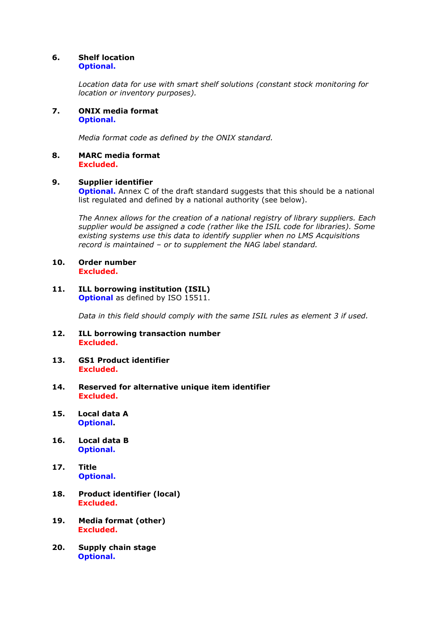#### **6. Shelf location Optional.**

*Location data for use with smart shelf solutions (constant stock monitoring for location or inventory purposes).*

**7. ONIX media format Optional.**

*Media format code as defined by the ONIX standard.*

**8. MARC media format Excluded.**

#### **9. Supplier identifier**

**Optional.** Annex C of the draft standard suggests that this should be a national list regulated and defined by a national authority (see below).

*The Annex allows for the creation of a national registry of library suppliers. Each supplier would be assigned a code (rather like the ISIL code for libraries). Some existing systems use this data to identify supplier when no LMS Acquisitions record is maintained – or to supplement the NAG label standard.*

- **10. Order number Excluded.**
- **11. ILL borrowing institution (ISIL) Optional** as defined by ISO 15511.

*Data in this field should comply with the same ISIL rules as element 3 if used.*

- **12. ILL borrowing transaction number Excluded.**
- **13. GS1 Product identifier Excluded.**
- **14. Reserved for alternative unique item identifier Excluded.**
- **15. Local data A Optional.**
- **16. Local data B Optional.**
- **17. Title Optional.**
- **18. Product identifier (local) Excluded.**
- **19. Media format (other) Excluded.**
- **20. Supply chain stage Optional.**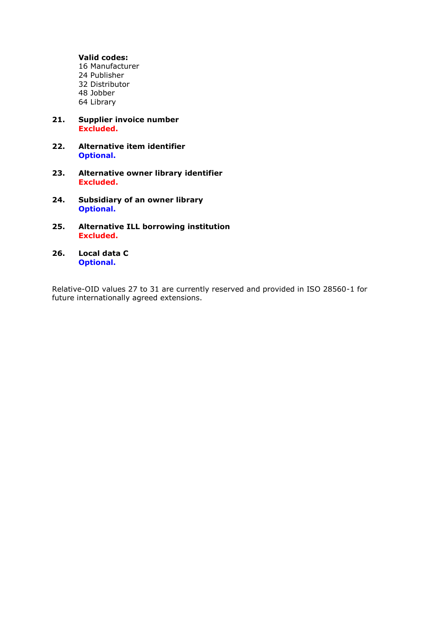#### **Valid codes:**

16 Manufacturer 24 Publisher 32 Distributor 48 Jobber 64 Library

- **21. Supplier invoice number Excluded.**
- **22. Alternative item identifier Optional.**
- **23. Alternative owner library identifier Excluded.**
- **24. Subsidiary of an owner library Optional.**
- **25. Alternative ILL borrowing institution Excluded.**
- **26. Local data C Optional.**

Relative-OID values 27 to 31 are currently reserved and provided in ISO 28560-1 for future internationally agreed extensions.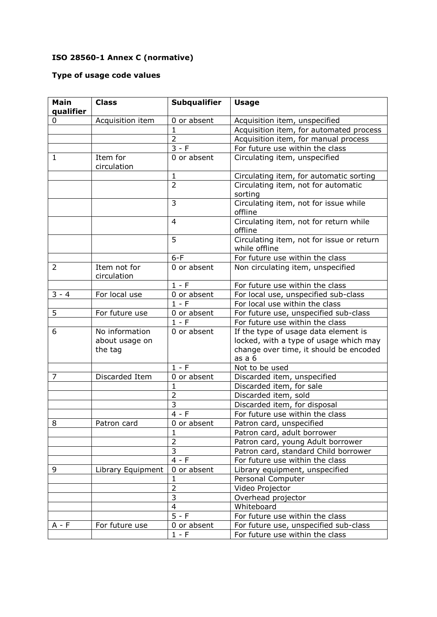## **ISO 28560-1 Annex C (normative)**

### **Type of usage code values**

| <b>Main</b><br>qualifier | <b>Class</b>                | <b>Subqualifier</b>         | <b>Usage</b>                                                     |
|--------------------------|-----------------------------|-----------------------------|------------------------------------------------------------------|
| 0                        | Acquisition item            | 0 or absent                 | Acquisition item, unspecified                                    |
|                          |                             | $\mathbf{1}$                | Acquisition item, for automated process                          |
|                          |                             | $\overline{2}$              | Acquisition item, for manual process                             |
|                          |                             | $3 - F$                     | For future use within the class                                  |
| 1                        | Item for<br>circulation     | 0 or absent                 | Circulating item, unspecified                                    |
|                          |                             | $\mathbf{1}$                | Circulating item, for automatic sorting                          |
|                          |                             | $\overline{2}$              | Circulating item, not for automatic<br>sorting                   |
|                          |                             | 3                           | Circulating item, not for issue while<br>offline                 |
|                          |                             | $\overline{4}$              | Circulating item, not for return while<br>offline                |
|                          |                             | 5                           | Circulating item, not for issue or return<br>while offline       |
|                          |                             | $6-F$                       | For future use within the class                                  |
| $\overline{2}$           | Item not for<br>circulation | 0 or absent                 | Non circulating item, unspecified                                |
|                          |                             | $1 - F$                     | For future use within the class                                  |
| $3 - 4$                  | For local use               | 0 or absent                 | For local use, unspecified sub-class                             |
|                          |                             | $1 - F$                     | For local use within the class                                   |
| 5                        | For future use              | 0 or absent                 | For future use, unspecified sub-class                            |
|                          |                             | $1 - F$                     | For future use within the class                                  |
| 6                        | No information              | 0 or absent                 | If the type of usage data element is                             |
|                          | about usage on              |                             | locked, with a type of usage which may                           |
|                          | the tag                     |                             | change over time, it should be encoded                           |
|                          |                             |                             | as a 6                                                           |
|                          |                             | $1 - F$                     | Not to be used                                                   |
| 7                        | Discarded Item              | 0 or absent                 | Discarded item, unspecified                                      |
|                          |                             | 1                           | Discarded item, for sale                                         |
|                          |                             | $\overline{2}$<br>3         | Discarded item, sold                                             |
|                          |                             |                             | Discarded item, for disposal                                     |
| 8                        |                             | $4 - F$                     | For future use within the class                                  |
|                          | Patron card                 | 0 or absent<br>$\mathbf{1}$ | Patron card, unspecified                                         |
|                          |                             | $\overline{2}$              | Patron card, adult borrower<br>Patron card, young Adult borrower |
|                          |                             | $\overline{\mathbf{3}}$     | Patron card, standard Child borrower                             |
|                          |                             | $4 - F$                     | For future use within the class                                  |
| 9                        | Library Equipment           | 0 or absent                 | Library equipment, unspecified                                   |
|                          |                             | $\mathbf{1}$                | Personal Computer                                                |
|                          |                             | $\overline{2}$              | Video Projector                                                  |
|                          |                             | 3                           | Overhead projector                                               |
|                          |                             | 4                           | Whiteboard                                                       |
|                          |                             | $5 - F$                     | For future use within the class                                  |
| $A - F$                  | For future use              | 0 or absent                 | For future use, unspecified sub-class                            |
|                          |                             | $1 - F$                     | For future use within the class                                  |